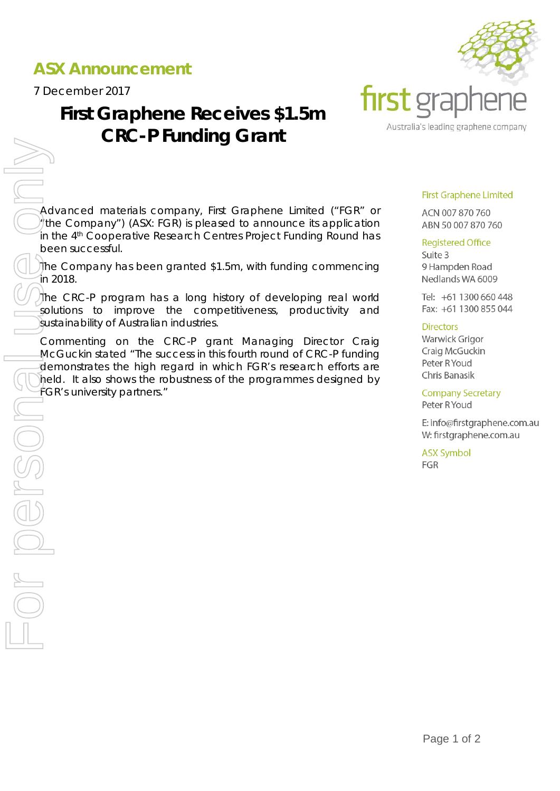# **ASX Announcement**

7 December 2017

# **First Graphene Receives \$1.5m CRC-P Funding Grant**



Advanced materials company, First Graphene Limited ("FGR" or "the Company") (ASX: FGR) is pleased to announce its application in the 4<sup>th</sup> Cooperative Research Centres Project Funding Round has been successful.

The Company has been granted \$1.5m, with funding commencing in 2018.

The CRC-P program has a long history of developing real world solutions to improve the competitiveness, productivity and sustainability of Australian industries.

Commenting on the CRC-P grant Managing Director Craig McGuckin stated "The success in this fourth round of CRC-P funding demonstrates the high regard in which FGR's research efforts are held. It also shows the robustness of the programmes designed by

## **First Graphene Limited**

ACN 007 870 760 ABN 50 007 870 760

## **Registered Office**

Suite 3 9 Hampden Road Nedlands WA 6009

Tel: +61 1300 660 448 Fax: +61 1300 855 044

## **Directors**

Warwick Grigor Craig McGuckin Peter R Youd Chris Banasik

**Company Secretary** Peter R Youd

E: info@firstgraphene.com.au W: firstgraphene.com.au

**ASX Symbol** FGR